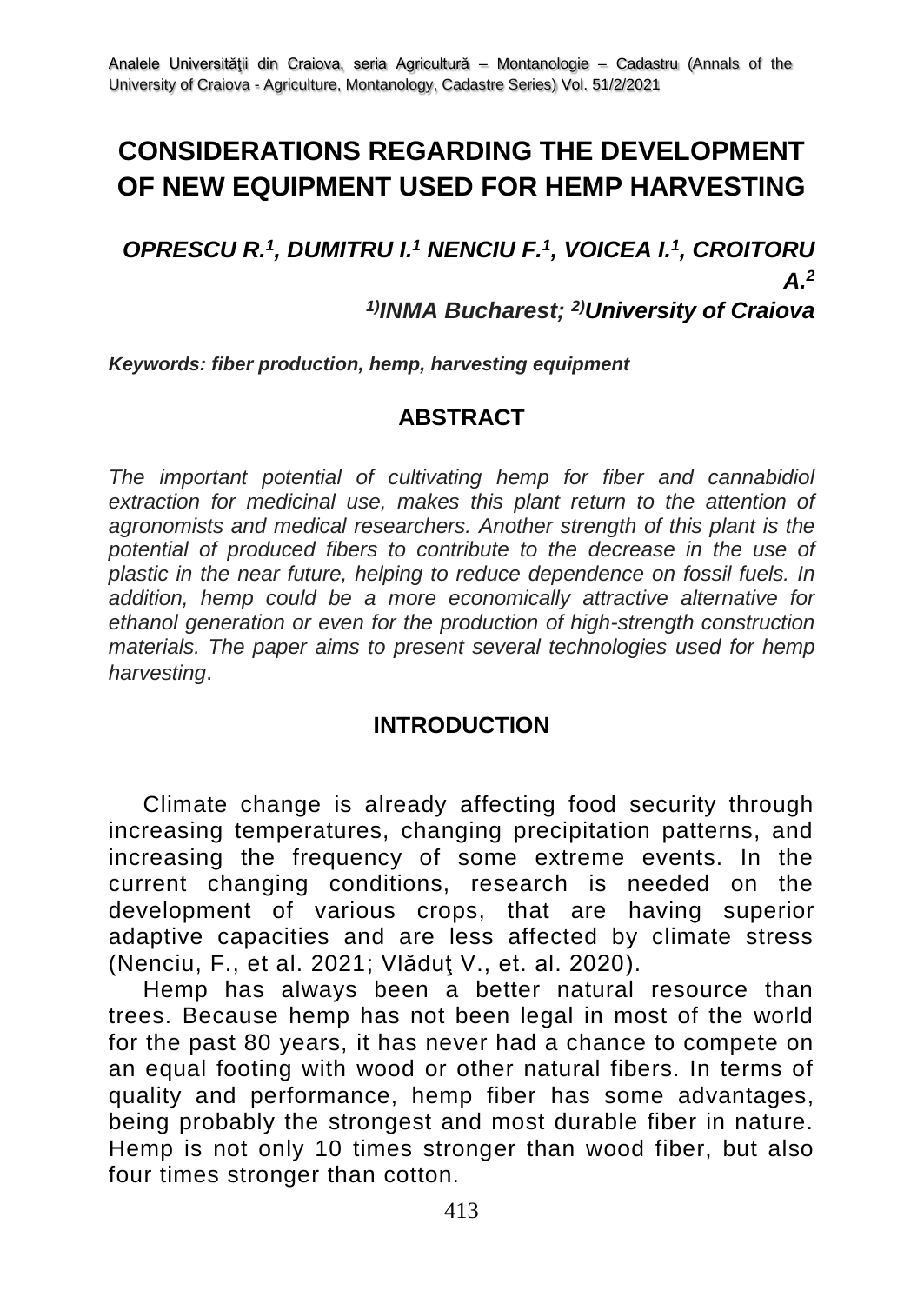# **CONSIDERATIONS REGARDING THE DEVELOPMENT OF NEW EQUIPMENT USED FOR HEMP HARVESTING**

*OPRESCU R. 1 , DUMITRU I.<sup>1</sup> NENCIU F.<sup>1</sup> , VOICEA I.<sup>1</sup> , CROITORU A. 2*

## *1)INMA Bucharest; 2)University of Craiova*

*Keywords: fiber production, hemp, harvesting equipment*

#### **ABSTRACT**

*The important potential of cultivating hemp for fiber and cannabidiol*  extraction for medicinal use, makes this plant return to the attention of *agronomists and medical researchers. Another strength of this plant is the potential of produced fibers to contribute to the decrease in the use of plastic in the near future, helping to reduce dependence on fossil fuels. In addition, hemp could be a more economically attractive alternative for ethanol generation or even for the production of high-strength construction materials. The paper aims to present several technologies used for hemp harvesting*.

#### **INTRODUCTION**

Climate change is already affecting food security through increasing temperatures, changing precipitation patterns, and increasing the frequency of some extreme events. In the current changing conditions, research is needed on the development of various crops, that are having superior adaptive capacities and are less affected by climate stress (Nenciu, F., et al. 2021; Vlăduţ V., et. al. 2020).

Hemp has always been a better natural resource than trees. Because hemp has not been legal in most of the world for the past 80 years, it has never had a chance to compete on an equal footing with wood or other natural fibers. In terms of quality and performance, hemp fiber has some advantages, being probably the strongest and most durable fiber in nature. Hemp is not only 10 times stronger than wood fiber, but also four times stronger than cotton.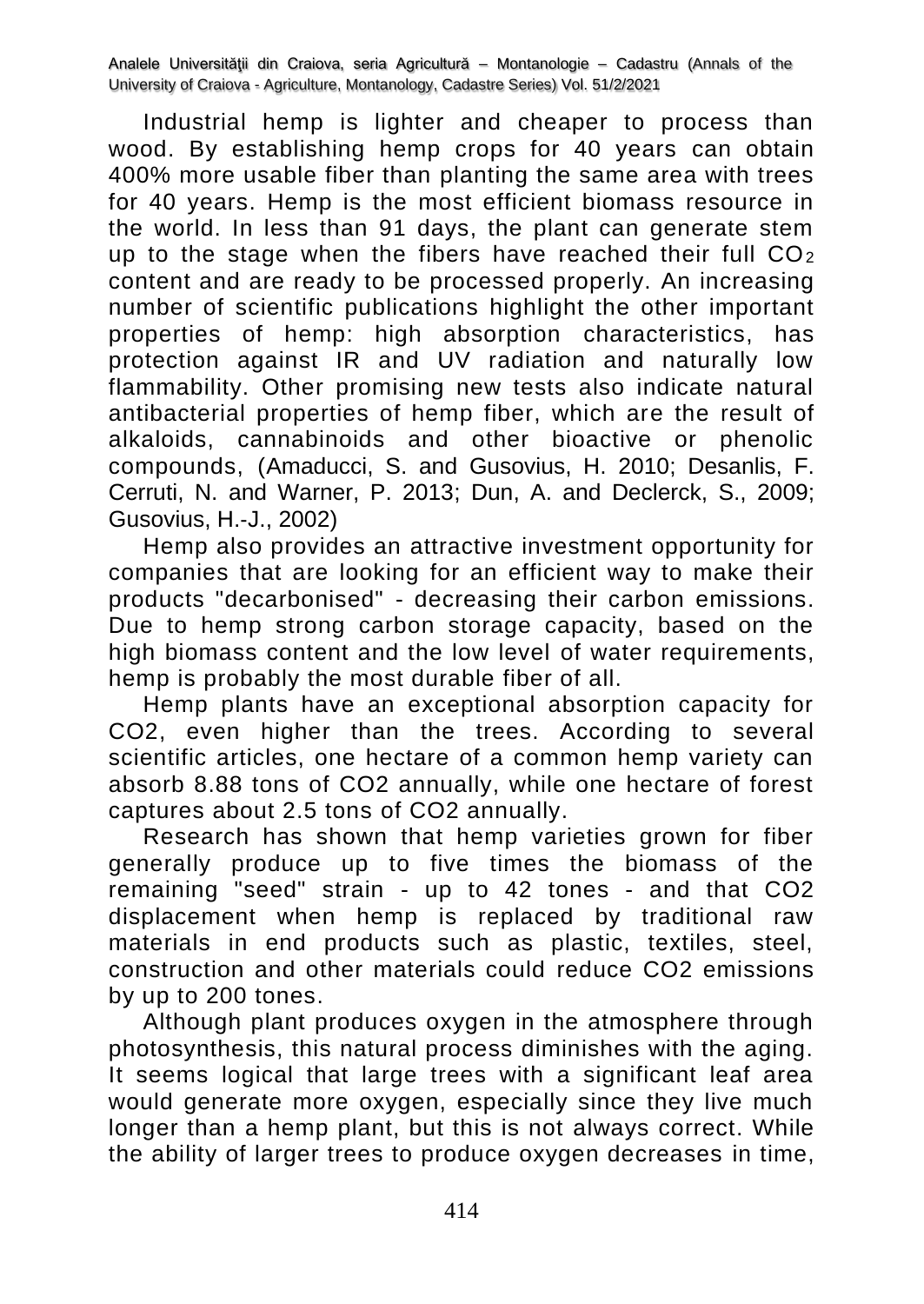Industrial hemp is lighter and cheaper to process than wood. By establishing hemp crops for 40 years can obtain 400% more usable fiber than planting the same area with trees for 40 years. Hemp is the most efficient biomass resource in the world. In less than 91 days, the plant can generate stem up to the stage when the fibers have reached their full  $CO<sub>2</sub>$ content and are ready to be processed properly. An increasing number of scientific publications highlight the other important properties of hemp: high absorption characteristics, has protection against IR and UV radiation and naturally low flammability. Other promising new tests also indicate natural antibacterial properties of hemp fiber, which are the result of alkaloids, cannabinoids and other bioactive or phenolic compounds, (Amaducci, S. and Gusovius, H. 2010; Desanlis, F. Cerruti, N. and Warner, P. 2013; Dun, A. and Declerck, S., 2009; Gusovius, H.‐J., 2002)

Hemp also provides an attractive investment opportunity for companies that are looking for an efficient way to make their products "decarbonised" - decreasing their carbon emissions. Due to hemp strong carbon storage capacity, based on the high biomass content and the low level of water requirements, hemp is probably the most durable fiber of all.

Hemp plants have an exceptional absorption capacity for CO2, even higher than the trees. According to several scientific articles, one hectare of a common hemp variety can absorb 8.88 tons of CO2 annually, while one hectare of forest captures about 2.5 tons of CO2 annually.

Research has shown that hemp varieties grown for fiber generally produce up to five times the biomass of the remaining "seed" strain - up to 42 tones - and that CO2 displacement when hemp is replaced by traditional raw materials in end products such as plastic, textiles, steel, construction and other materials could reduce CO2 emissions by up to 200 tones.

Although plant produces oxygen in the atmosphere through photosynthesis, this natural process diminishes with the aging. It seems logical that large trees with a significant leaf area would generate more oxygen, especially since they live much longer than a hemp plant, but this is not always correct. While the ability of larger trees to produce oxygen decreases in time,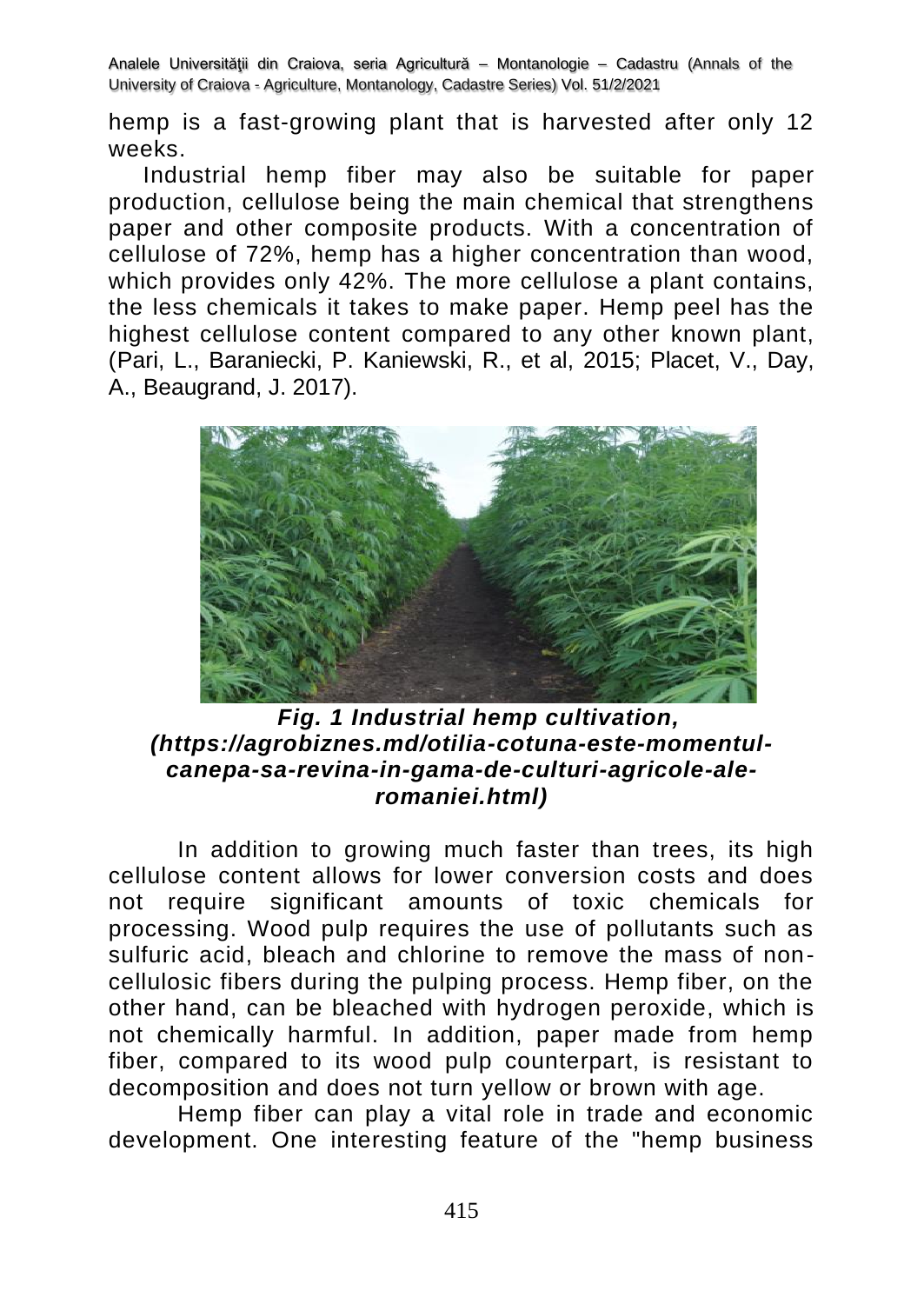hemp is a fast-growing plant that is harvested after only 12 weeks.

Industrial hemp fiber may also be suitable for paper production, cellulose being the main chemical that strengthens paper and other composite products. With a concentration of cellulose of 72%, hemp has a higher concentration than wood, which provides only 42%. The more cellulose a plant contains, the less chemicals it takes to make paper. Hemp peel has the highest cellulose content compared to any other known plant, (Pari, L., Baraniecki, P. Kaniewski, R., et al, 2015; Placet, V., Day, A., Beaugrand, J. 2017).



### *Fig. 1 Industrial hemp cultivation, (https://agrobiznes.md/otilia-cotuna-este-momentulcanepa-sa-revina-in-gama-de-culturi-agricole-aleromaniei.html)*

In addition to growing much faster than trees, its high cellulose content allows for lower conversion costs and does not require significant amounts of toxic chemicals for processing. Wood pulp requires the use of pollutants such as sulfuric acid, bleach and chlorine to remove the mass of noncellulosic fibers during the pulping process. Hemp fiber, on the other hand, can be bleached with hydrogen peroxide, which is not chemically harmful. In addition, paper made from hemp fiber, compared to its wood pulp counterpart, is resistant to decomposition and does not turn yellow or brown with age.

Hemp fiber can play a vital role in trade and economic development. One interesting feature of the "hemp business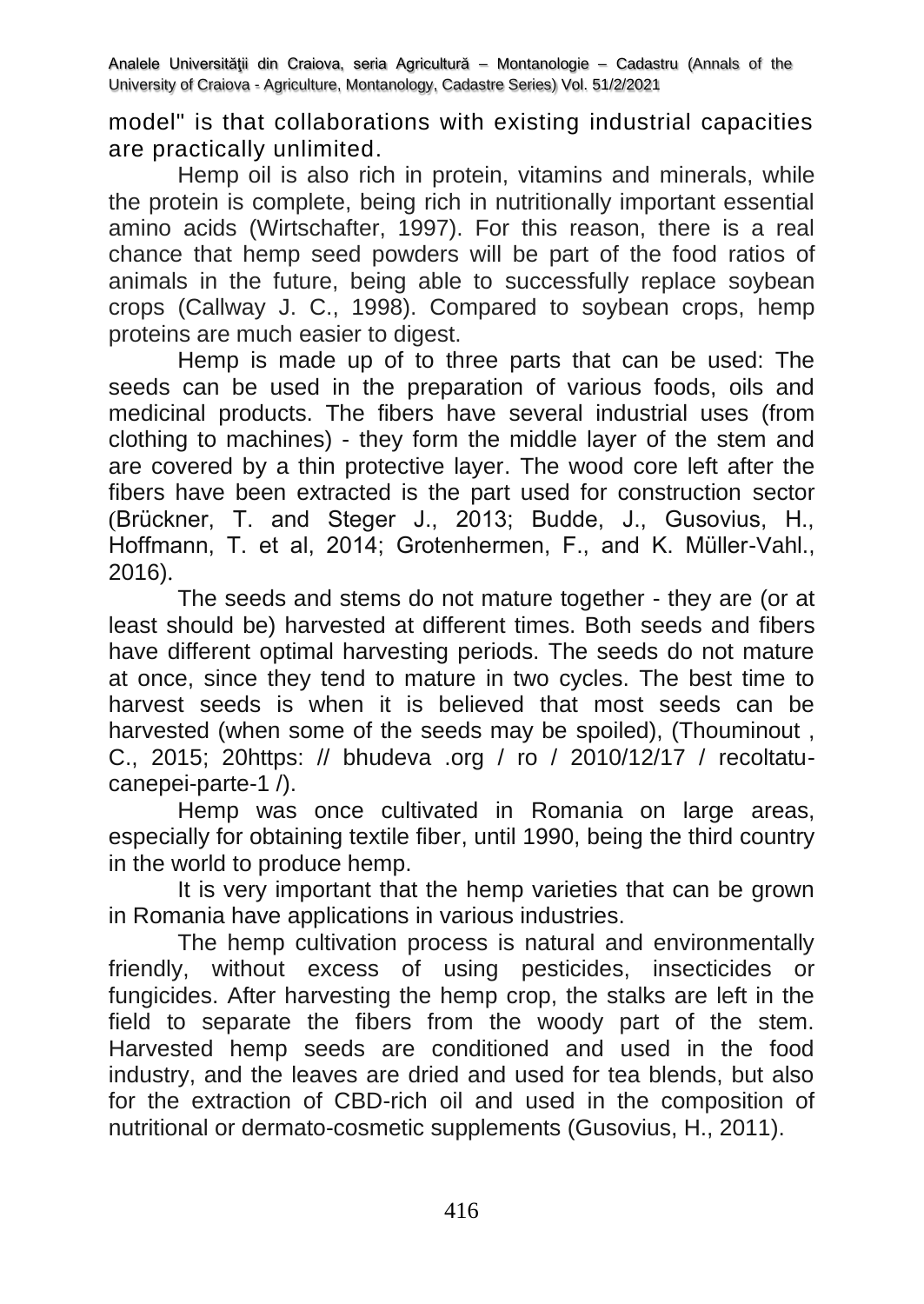model" is that collaborations with existing industrial capacities are practically unlimited.

Hemp oil is also rich in protein, vitamins and minerals, while the protein is complete, being rich in nutritionally important essential amino acids (Wirtschafter, 1997). For this reason, there is a real chance that hemp seed powders will be part of the food ratios of animals in the future, being able to successfully replace soybean crops (Callway J. C., 1998). Compared to soybean crops, hemp proteins are much easier to digest.

Hemp is made up of to three parts that can be used: The seeds can be used in the preparation of various foods, oils and medicinal products. The fibers have several industrial uses (from clothing to machines) - they form the middle layer of the stem and are covered by a thin protective layer. The wood core left after the fibers have been extracted is the part used for construction sector (Brückner, T. and Steger J., 2013; Budde, J., Gusovius, H., Hoffmann, T. et al, 2014; Grotenhermen, F., and K. Müller-Vahl., 2016).

The seeds and stems do not mature together - they are (or at least should be) harvested at different times. Both seeds and fibers have different optimal harvesting periods. The seeds do not mature at once, since they tend to mature in two cycles. The best time to harvest seeds is when it is believed that most seeds can be harvested (when some of the seeds may be spoiled), (Thouminout , C., 2015; 20https: // bhudeva .org / ro / 2010/12/17 / recoltatucanepei-parte-1 /).

Hemp was once cultivated in Romania on large areas, especially for obtaining textile fiber, until 1990, being the third country in the world to produce hemp.

It is very important that the hemp varieties that can be grown in Romania have applications in various industries.

The hemp cultivation process is natural and environmentally friendly, without excess of using pesticides, insecticides or fungicides. After harvesting the hemp crop, the stalks are left in the field to separate the fibers from the woody part of the stem. Harvested hemp seeds are conditioned and used in the food industry, and the leaves are dried and used for tea blends, but also for the extraction of CBD-rich oil and used in the composition of nutritional or dermato-cosmetic supplements (Gusovius, H., 2011).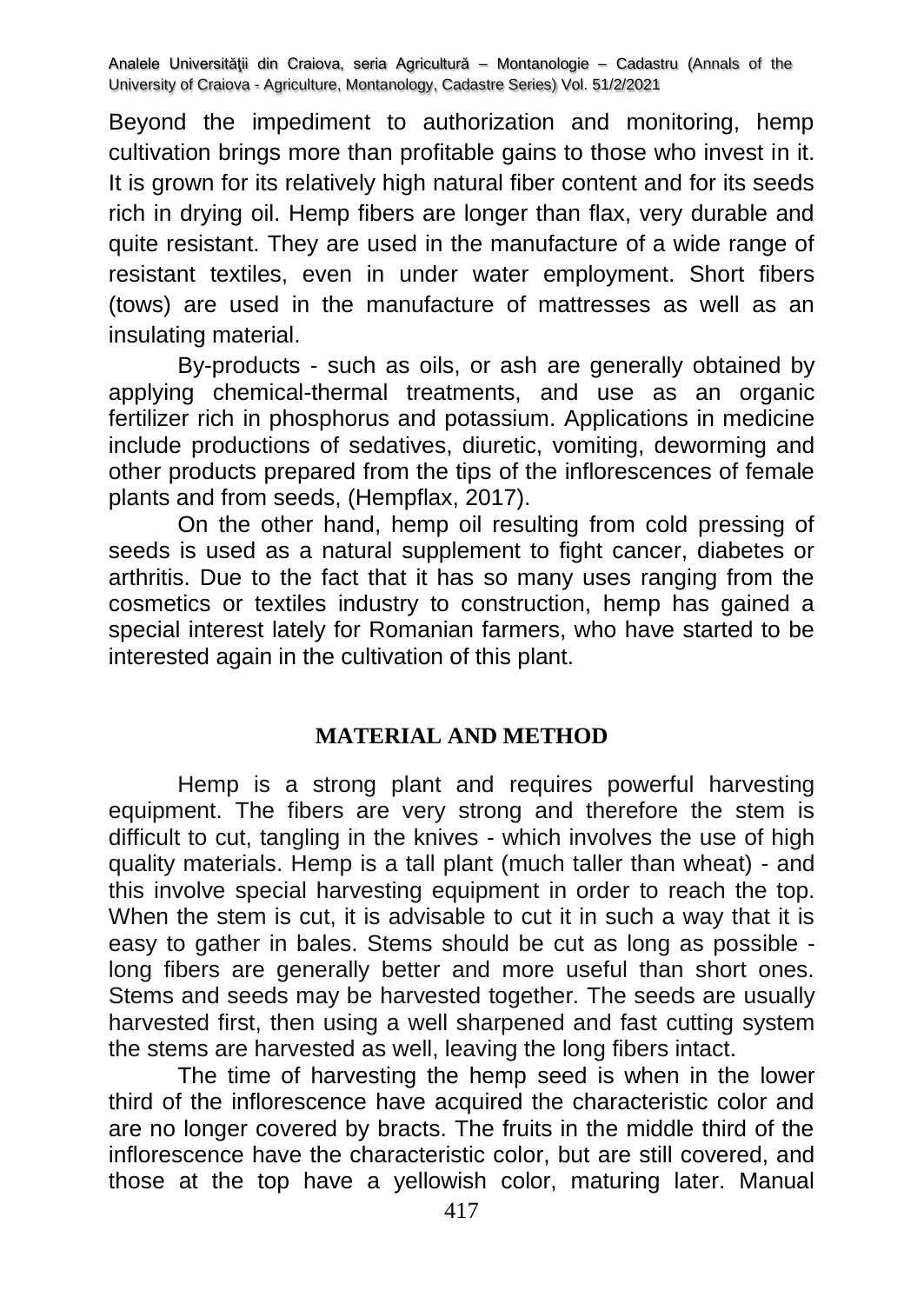Beyond the impediment to authorization and monitoring, hemp cultivation brings more than profitable gains to those who invest in it. It is grown for its relatively high natural fiber content and for its seeds rich in drying oil. Hemp fibers are longer than flax, very durable and quite resistant. They are used in the manufacture of a wide range of resistant textiles, even in under water employment. Short fibers (tows) are used in the manufacture of mattresses as well as an insulating material.

By-products - such as oils, or ash are generally obtained by applying chemical-thermal treatments, and use as an organic fertilizer rich in phosphorus and potassium. Applications in medicine include productions of sedatives, diuretic, vomiting, deworming and other products prepared from the tips of the inflorescences of female plants and from seeds, (Hempflax, 2017).

On the other hand, hemp oil resulting from cold pressing of seeds is used as a natural supplement to fight cancer, diabetes or arthritis. Due to the fact that it has so many uses ranging from the cosmetics or textiles industry to construction, hemp has gained a special interest lately for Romanian farmers, who have started to be interested again in the cultivation of this plant.

#### **MATERIAL AND METHOD**

Hemp is a strong plant and requires powerful harvesting equipment. The fibers are very strong and therefore the stem is difficult to cut, tangling in the knives - which involves the use of high quality materials. Hemp is a tall plant (much taller than wheat) - and this involve special harvesting equipment in order to reach the top. When the stem is cut, it is advisable to cut it in such a way that it is easy to gather in bales. Stems should be cut as long as possible long fibers are generally better and more useful than short ones. Stems and seeds may be harvested together. The seeds are usually harvested first, then using a well sharpened and fast cutting system the stems are harvested as well, leaving the long fibers intact.

The time of harvesting the hemp seed is when in the lower third of the inflorescence have acquired the characteristic color and are no longer covered by bracts. The fruits in the middle third of the inflorescence have the characteristic color, but are still covered, and those at the top have a yellowish color, maturing later. Manual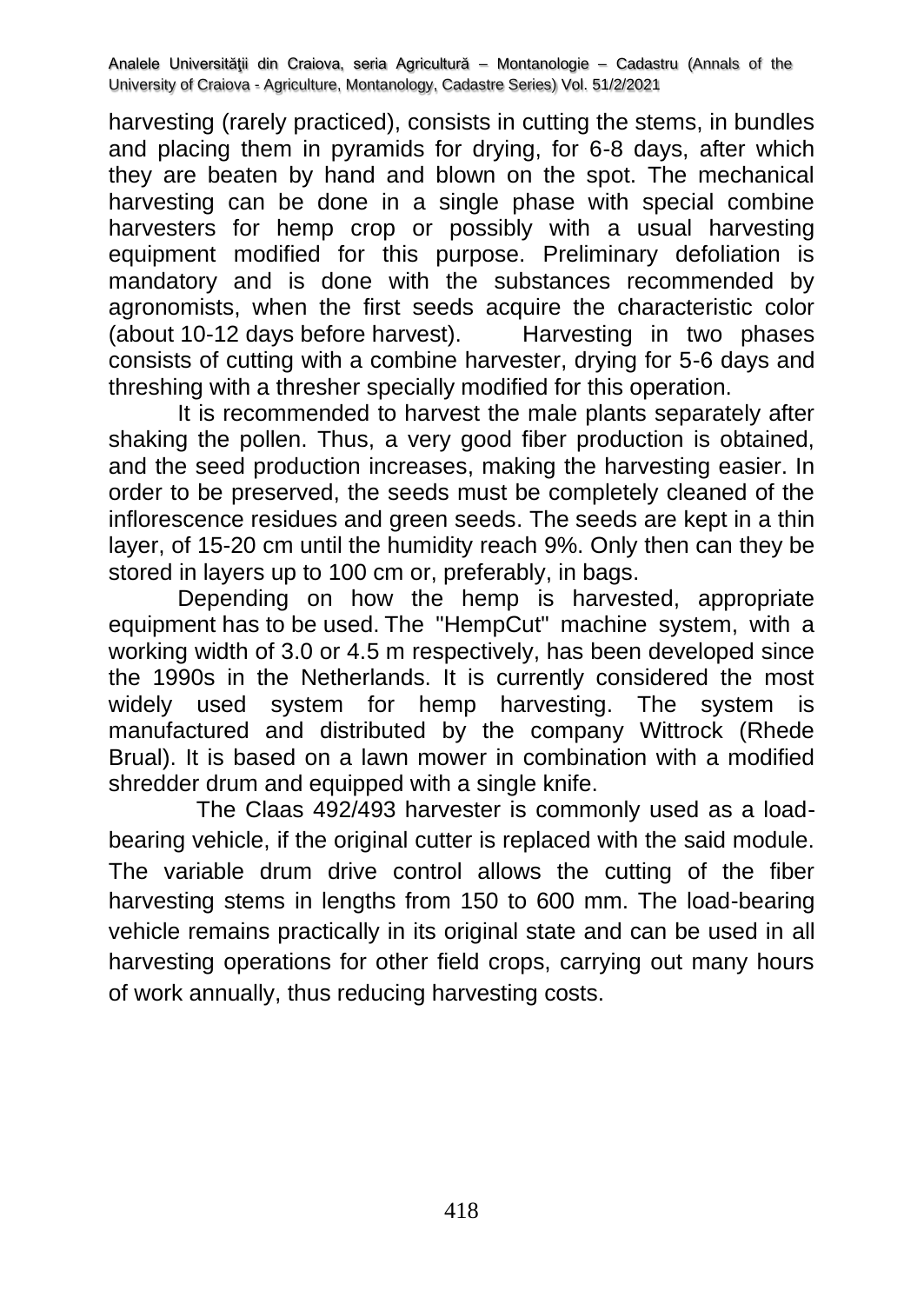harvesting (rarely practiced), consists in cutting the stems, in bundles and placing them in pyramids for drying, for 6-8 days, after which they are beaten by hand and blown on the spot. The mechanical harvesting can be done in a single phase with special combine harvesters for hemp crop or possibly with a usual harvesting equipment modified for this purpose. Preliminary defoliation is mandatory and is done with the substances recommended by agronomists, when the first seeds acquire the characteristic color (about 10-12 days before harvest). Harvesting in two phases consists of cutting with a combine harvester, drying for 5-6 days and threshing with a thresher specially modified for this operation.

It is recommended to harvest the male plants separately after shaking the pollen. Thus, a very good fiber production is obtained, and the seed production increases, making the harvesting easier. In order to be preserved, the seeds must be completely cleaned of the inflorescence residues and green seeds. The seeds are kept in a thin layer, of 15-20 cm until the humidity reach 9%. Only then can they be stored in layers up to 100 cm or, preferably, in bags.

Depending on how the hemp is harvested, appropriate equipment has to be used. The "HempCut" machine system, with a working width of 3.0 or 4.5 m respectively, has been developed since the 1990s in the Netherlands. It is currently considered the most widely used system for hemp harvesting. The system is manufactured and distributed by the company Wittrock (Rhede Brual). It is based on a lawn mower in combination with a modified shredder drum and equipped with a single knife.

The Claas 492/493 harvester is commonly used as a loadbearing vehicle, if the original cutter is replaced with the said module. The variable drum drive control allows the cutting of the fiber harvesting stems in lengths from 150 to 600 mm. The load-bearing vehicle remains practically in its original state and can be used in all harvesting operations for other field crops, carrying out many hours of work annually, thus reducing harvesting costs.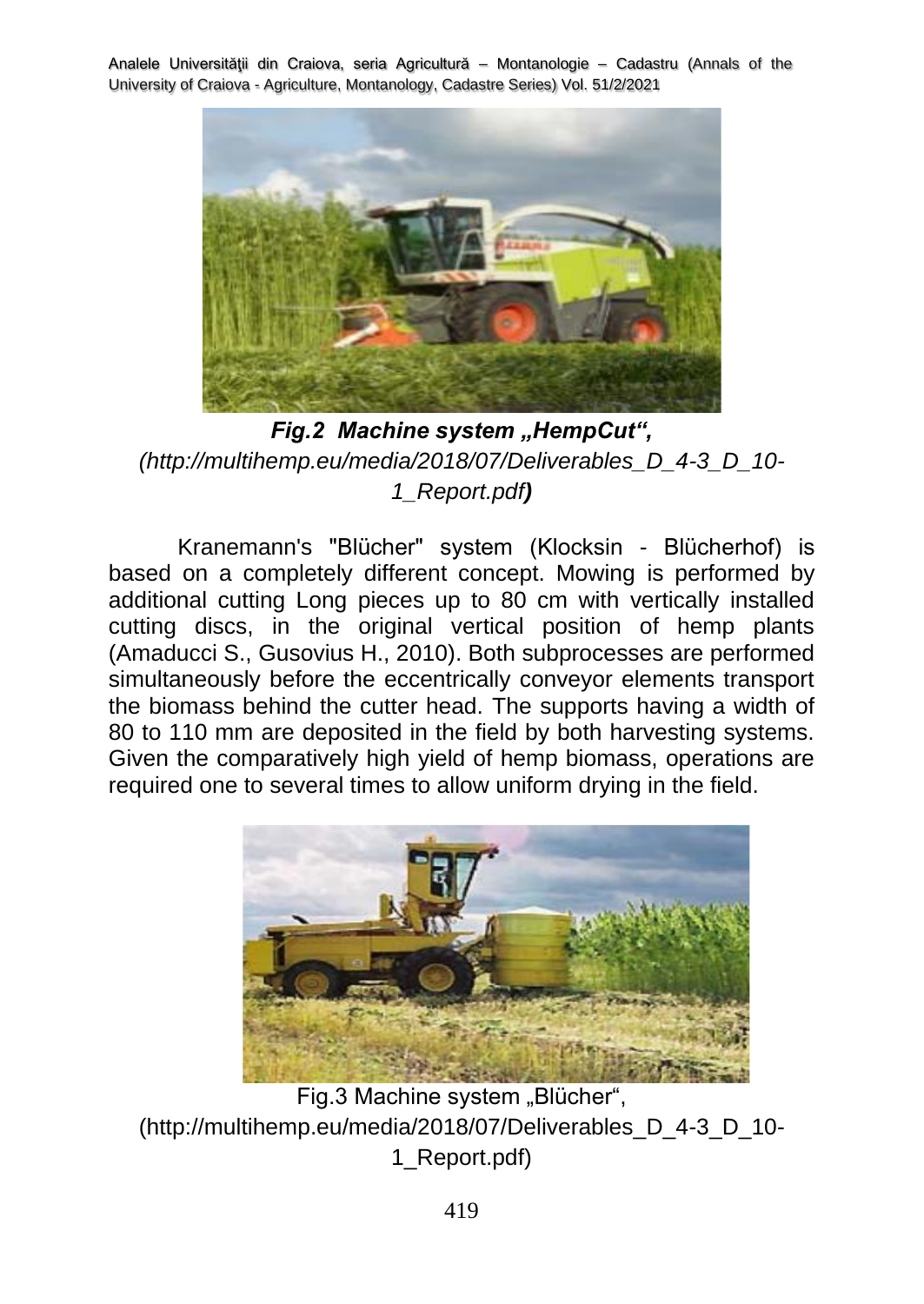

**Fig.2 Machine system "HempCut",** *(http://multihemp.eu/media/2018/07/Deliverables\_D\_4-3\_D\_10- 1\_Report.pdf)*

Kranemann's "Blücher" system (Klocksin - Blücherhof) is based on a completely different concept. Mowing is performed by additional cutting Long pieces up to 80 cm with vertically installed cutting discs, in the original vertical position of hemp plants (Amaducci S., Gusovius H., 2010). Both subprocesses are performed simultaneously before the eccentrically conveyor elements transport the biomass behind the cutter head. The supports having a width of 80 to 110 mm are deposited in the field by both harvesting systems. Given the comparatively high yield of hemp biomass, operations are required one to several times to allow uniform drying in the field.



Fig.3 Machine system "Blücher", (http://multihemp.eu/media/2018/07/Deliverables\_D\_4-3\_D\_10- 1\_Report.pdf)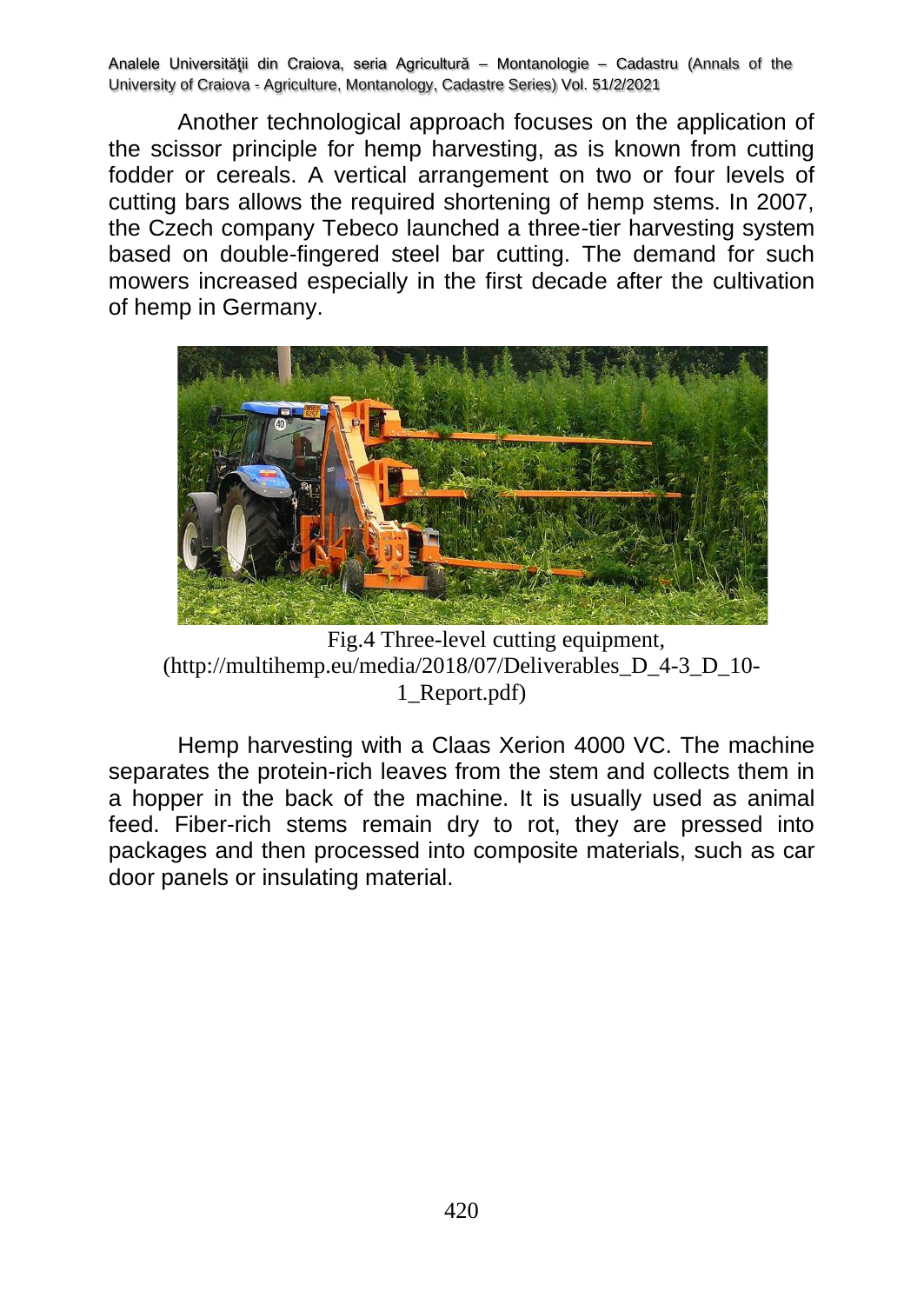Another technological approach focuses on the application of the scissor principle for hemp harvesting, as is known from cutting fodder or cereals. A vertical arrangement on two or four levels of cutting bars allows the required shortening of hemp stems. In 2007, the Czech company Tebeco launched a three-tier harvesting system based on double-fingered steel bar cutting. The demand for such mowers increased especially in the first decade after the cultivation of hemp in Germany.



Fig.4 Three-level cutting equipment, (http://multihemp.eu/media/2018/07/Deliverables\_D\_4-3\_D\_10- 1\_Report.pdf)

Hemp harvesting with a Claas Xerion 4000 VC. The machine separates the protein-rich leaves from the stem and collects them in a hopper in the back of the machine. It is usually used as animal feed. Fiber-rich stems remain dry to rot, they are pressed into packages and then processed into composite materials, such as car door panels or insulating material.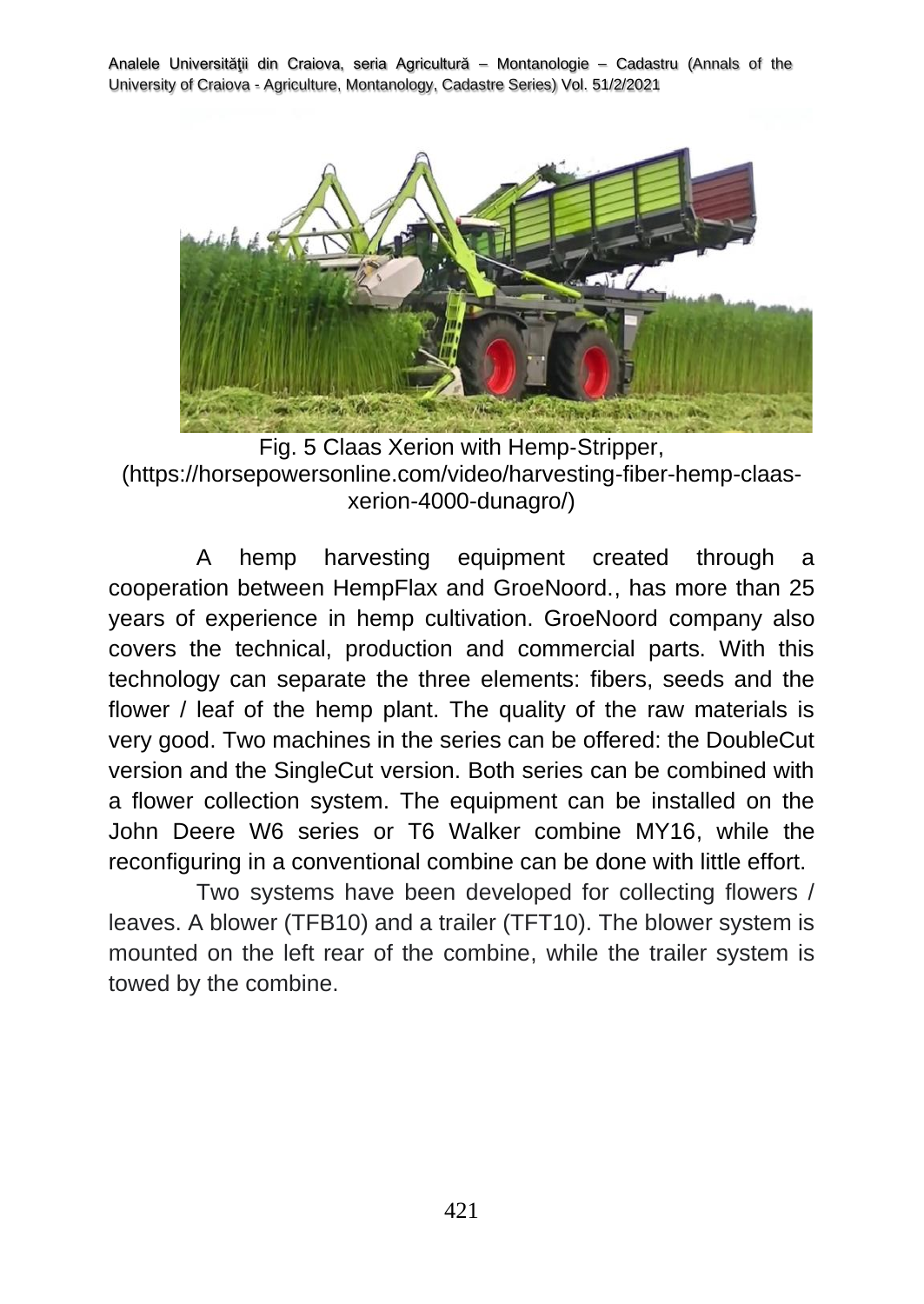

Fig. 5 Claas Xerion with Hemp‐Stripper, (https://horsepowersonline.com/video/harvesting-fiber-hemp-claasxerion-4000-dunagro/)

A hemp harvesting equipment created through a cooperation between HempFlax and GroeNoord., has more than 25 years of experience in hemp cultivation. GroeNoord company also covers the technical, production and commercial parts. With this technology can separate the three elements: fibers, seeds and the flower / leaf of the hemp plant. The quality of the raw materials is very good. Two machines in the series can be offered: the DoubleCut version and the SingleCut version. Both series can be combined with a flower collection system. The equipment can be installed on the John Deere W6 series or T6 Walker combine MY16, while the reconfiguring in a conventional combine can be done with little effort.

Two systems have been developed for collecting flowers / leaves. A blower (TFB10) and a trailer (TFT10). The blower system is mounted on the left rear of the combine, while the trailer system is towed by the combine.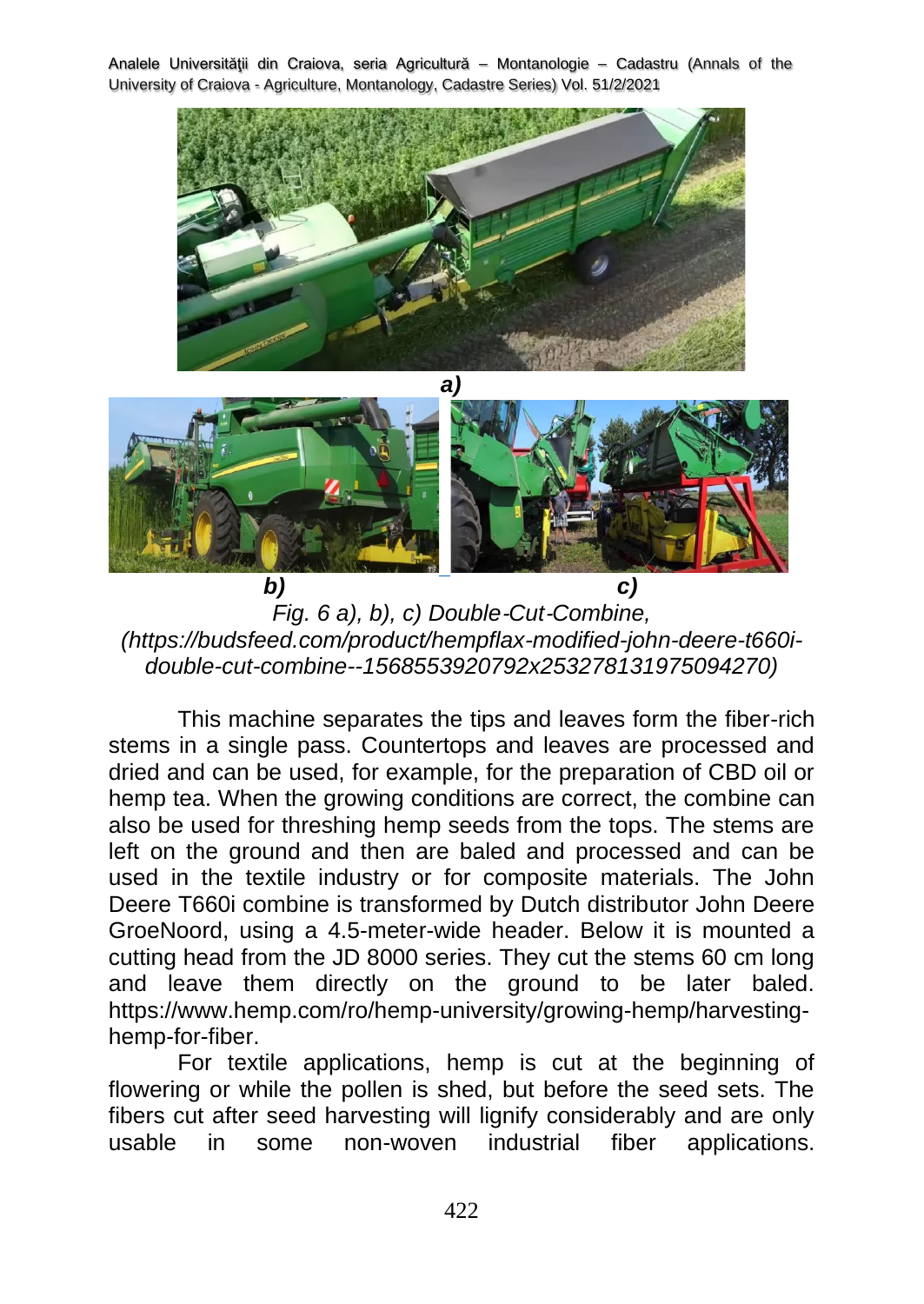

*a)*



*b) c) Fig. 6 a), b), c) Double*‐*Cut*‐*Combine, (https://budsfeed.com/product/hempflax-modified-john-deere-t660idouble-cut-combine--1568553920792x253278131975094270)*

This machine separates the tips and leaves form the fiber-rich stems in a single pass. Countertops and leaves are processed and dried and can be used, for example, for the preparation of CBD oil or hemp tea. When the growing conditions are correct, the combine can also be used for threshing hemp seeds from the tops. The stems are left on the ground and then are baled and processed and can be used in the textile industry or for composite materials. The John Deere T660i combine is transformed by Dutch distributor John Deere GroeNoord, using a 4.5-meter-wide header. Below it is mounted a cutting head from the JD 8000 series. They cut the stems 60 cm long and leave them directly on the ground to be later baled. https://www.hemp.com/ro/hemp-university/growing-hemp/harvestinghemp-for-fiber.

For textile applications, hemp is cut at the beginning of flowering or while the pollen is shed, but before the seed sets. The fibers cut after seed harvesting will lignify considerably and are only usable in some non-woven industrial fiber applications.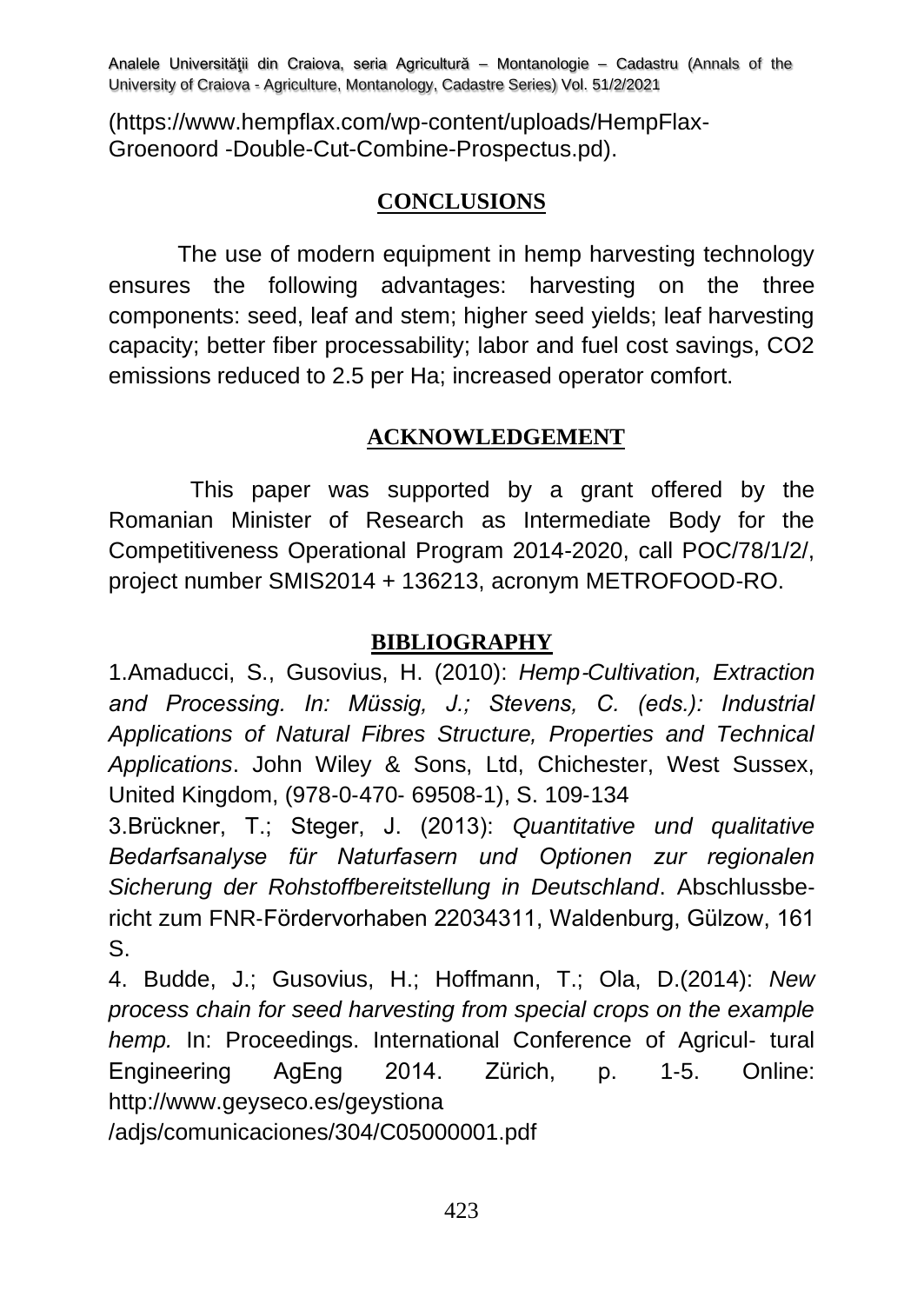(https://www.hempflax.com/wp-content/uploads/HempFlax-Groenoord -Double-Cut-Combine-Prospectus.pd).

# **CONCLUSIONS**

The use of modern equipment in hemp harvesting technology ensures the following advantages: harvesting on the three components: seed, leaf and stem; higher seed yields; leaf harvesting capacity; better fiber processability; labor and fuel cost savings, CO2 emissions reduced to 2.5 per Ha; increased operator comfort.

## **ACKNOWLEDGEMENT**

This paper was supported by a grant offered by the Romanian Minister of Research as Intermediate Body for the Competitiveness Operational Program 2014-2020, call POC/78/1/2/, project number SMIS2014 + 136213, acronym METROFOOD-RO.

## **BIBLIOGRAPHY**

1.Amaducci, S., Gusovius, H. (2010): *Hemp*‐*Cultivation, Extraction and Processing. In: Müssig, J.; Stevens, C. (eds.): Industrial Applications of Natural Fibres Structure, Properties and Technical Applications*. John Wiley & Sons, Ltd, Chichester, West Sussex, United Kingdom, (978‐0‐470‐ 69508‐1), S. 109‐134

3.Brückner, T.; Steger, J. (2013): *Quantitative und qualitative Bedarfsanalyse für Naturfasern und Optionen zur regionalen Sicherung der Rohstoffbereitstellung in Deutschland*. Abschlussbe‐ richt zum FNR‐Fördervorhaben 22034311, Waldenburg, Gülzow, 161 S.

4. Budde, J.; Gusovius, H.; Hoffmann, T.; Ola, D.(2014): *New process chain for seed harvesting from special crops on the example hemp.* In: Proceedings. International Conference of Agricul- tural Engineering AgEng 2014. Zürich, p. 1‐5. Online: [http://www.geyseco.es/geystiona](http://www.geyseco.es/geystiona%20/adjs/comunicaciones/304/C05000001.pdf) 

[/adjs/comunicaciones/304/C05000001.pdf](http://www.geyseco.es/geystiona%20/adjs/comunicaciones/304/C05000001.pdf)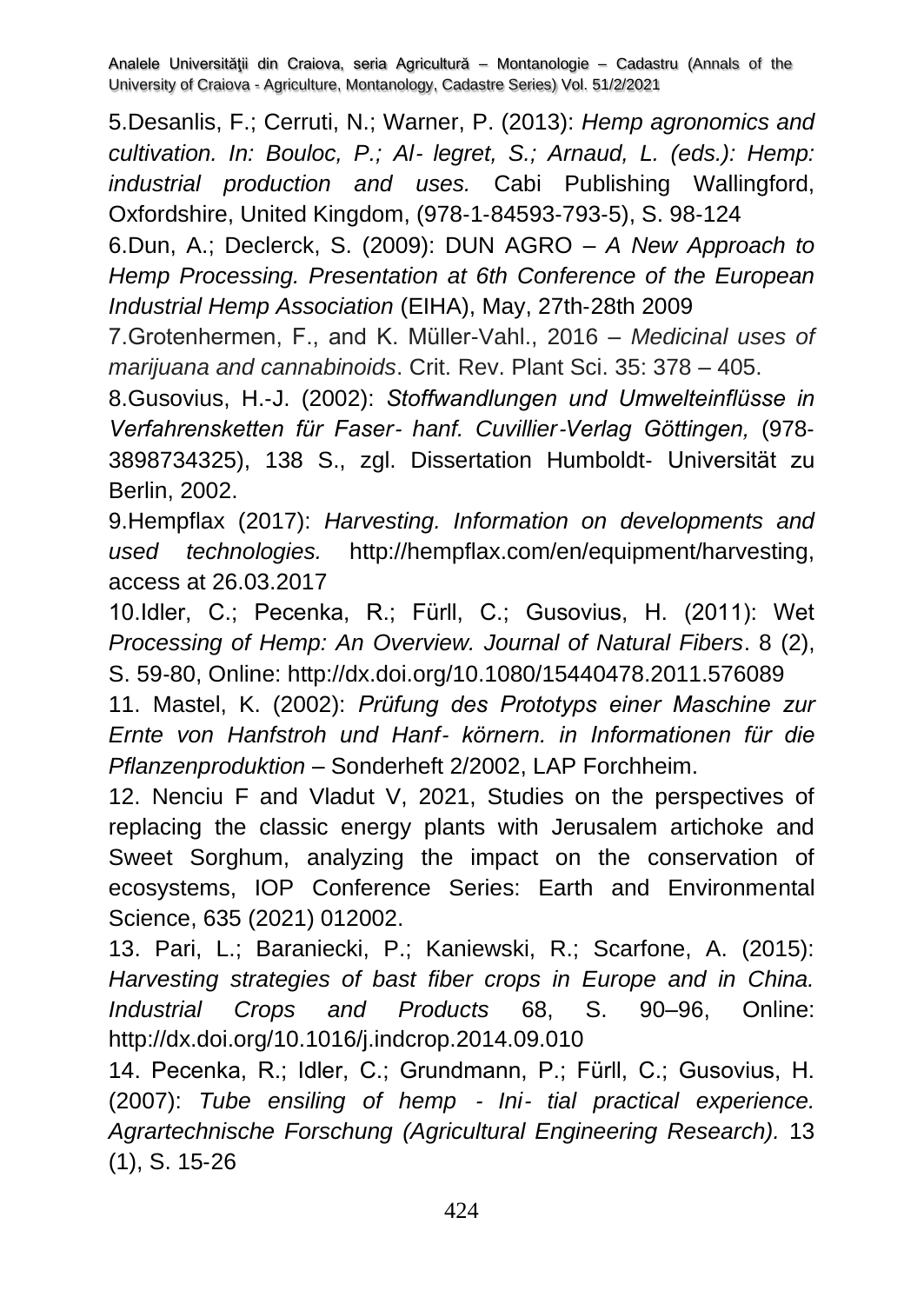5.Desanlis, F.; Cerruti, N.; Warner, P. (2013): *Hemp agronomics and cultivation. In: Bouloc, P.; Al*‐ *legret, S.; Arnaud, L. (eds.): Hemp: industrial production and uses.* Cabi Publishing Wallingford, Oxfordshire, United Kingdom, (978‐1‐84593‐793‐5), S. 98‐124

6.Dun, A.; Declerck, S. (2009): DUN AGRO – *A New Approach to Hemp Processing. Presentation at 6th Conference of the European Industrial Hemp Association* (EIHA), May, 27th‐28th 2009

7.Grotenhermen, F., and K. Müller-Vahl., 2016 – *Medicinal uses of marijuana and cannabinoids*. Crit. Rev. Plant Sci. 35: 378 – 405.

8.Gusovius, H.‐J. (2002): *Stoffwandlungen und Umwelteinflüsse in Verfahrensketten für Faser*‐ *hanf. Cuvillier*‐*Verlag Göttingen,* (978‐ 3898734325), 138 S., zgl. Dissertation Humboldt‐ Universität zu Berlin, 2002.

9.Hempflax (2017): *Harvesting. Information on developments and used technologies.* http://hempflax.com/en/equipment/harvesting, access at 26.03.2017

10.Idler, C.; Pecenka, R.; Fürll, C.; Gusovius, H. (2011): Wet *Processing of Hemp: An Overview. Journal of Natural Fibers*. 8 (2), S. 59‐80, Online:<http://dx.doi.org/10.1080/15440478.2011.576089>

11. Mastel, K. (2002): *Prüfung des Prototyps einer Maschine zur Ernte von Hanfstroh und Hanf*‐ *körnern. in Informationen für die Pflanzenproduktion* – Sonderheft 2/2002, LAP Forchheim.

12. Nenciu F and Vladut V, 2021, Studies on the perspectives of replacing the classic energy plants with Jerusalem artichoke and Sweet Sorghum, analyzing the impact on the conservation of ecosystems, IOP Conference Series: Earth and Environmental Science, 635 (2021) 012002.

13. Pari, L.; Baraniecki, P.; Kaniewski, R.; Scarfone, A. (2015): *Harvesting strategies of bast fiber crops in Europe and in China. Industrial Crops and Products* 68, S. 90–96, Online: <http://dx.doi.org/10.1016/j.indcrop.2014.09.010>

14. Pecenka, R.; Idler, C.; Grundmann, P.; Fürll, C.; Gusovius, H. (2007): *Tube ensiling of hemp* ‐ *Ini*‐ *tial practical experience. Agrartechnische Forschung (Agricultural Engineering Research).* 13 (1), S. 15‐26